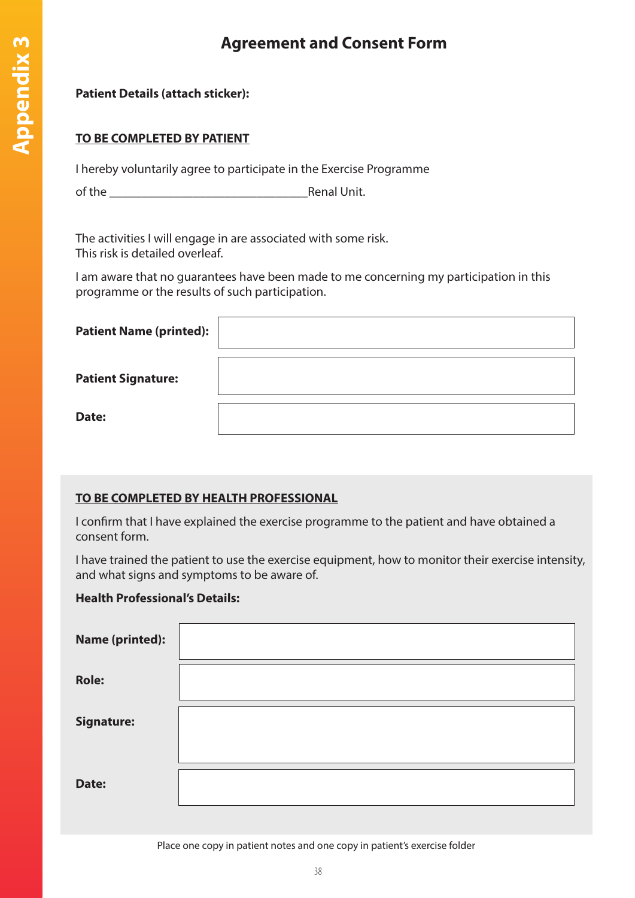# **Agreement and Consent Form**

### **Patient Details (attach sticker):**

#### **TO BE COMPLETED BY PATIENT**

I hereby voluntarily agree to participate in the Exercise Programme

of the **EXECUTE CONSUMING THE RENAL PREN** 

The activities I will engage in are associated with some risk. This risk is detailed overleaf.

I am aware that no guarantees have been made to me concerning my participation in this programme or the results of such participation.

| <b>Patient Name (printed):</b> |  |
|--------------------------------|--|
| <b>Patient Signature:</b>      |  |
| Date:                          |  |

#### **TO BE COMPLETED BY HEALTH PROFESSIONAL**

I confirm that I have explained the exercise programme to the patient and have obtained a consent form.

I have trained the patient to use the exercise equipment, how to monitor their exercise intensity, and what signs and symptoms to be aware of.

#### **Health Professional's Details:**

| <b>Name (printed):</b> |  |
|------------------------|--|
| <b>Role:</b>           |  |
| <b>Signature:</b>      |  |
| Date:                  |  |

Place one copy in patient notes and one copy in patient's exercise folder